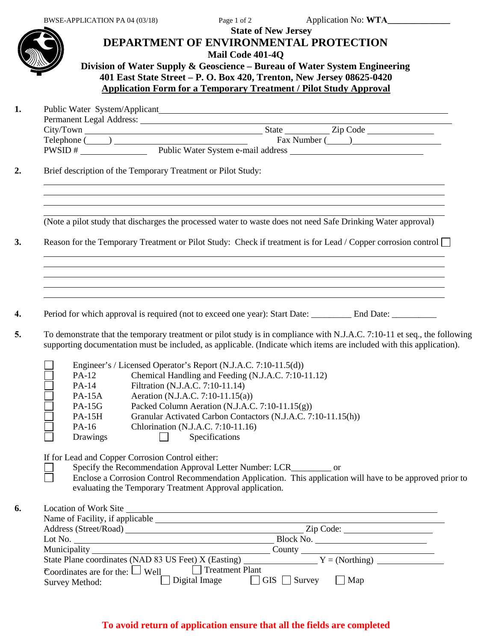## **State of New Jersey DEPARTMENT OF ENVIRONMENTAL PROTECTION Mail Code 401-4Q Division of Water Supply & Geoscience – Bureau of Water System Engineering 401 East State Street – P. O. Box 420, Trenton, New Jersey 08625-0420**

**Application Form for a Temporary Treatment / Pilot Study Approval** 

**1.** Public Water System/Applicant

| Permanent Legal Address: |                                    |
|--------------------------|------------------------------------|
| City/Town                | Zip Code<br>State                  |
| Telephone (              | Fax Number (                       |
| PWSID#                   | Public Water System e-mail address |

**2.** Brief description of the Temporary Treatment or Pilot Study:

(Note a pilot study that discharges the processed water to waste does not need Safe Drinking Water approval)

**3.** Reason for the Temporary Treatment or Pilot Study: Check if treatment is for Lead / Copper corrosion control

**4.** Period for which approval is required (not to exceed one year): Start Date: \_\_\_\_\_\_\_\_\_ End Date: \_\_\_\_\_\_\_\_\_

**5.** To demonstrate that the temporary treatment or pilot study is in compliance with N.J.A.C. 7:10-11 et seq., the following supporting documentation must be included, as applicable. (Indicate which items are included with this application).

|               | Engineer's / Licensed Operator's Report (N.J.A.C. 7:10-11.5(d)) |
|---------------|-----------------------------------------------------------------|
| PA-12         | Chemical Handling and Feeding (N.J.A.C. 7:10-11.12)             |
| PA-14         | Filtration (N.J.A.C. 7:10-11.14)                                |
| <b>PA-15A</b> | Aeration (N.J.A.C. 7:10-11.15(a))                               |
| <b>PA-15G</b> | Packed Column Aeration (N.J.A.C. 7:10-11.15(g))                 |
| <b>PA-15H</b> | Granular Activated Carbon Contactors (N.J.A.C. 7:10-11.15(h))   |
| PA-16         | Chlorination (N.J.A.C. 7:10-11.16)                              |
| Drawings      | Specifications                                                  |

If for Lead and Copper Corrosion Control either:

Specify the Recommendation Approval Letter Number: LCR\_\_\_\_\_\_\_\_\_ or

Enclose a Corrosion Control Recommendation Application. This application will have to be approved prior to evaluating the Temporary Treatment Approval application.

| 6. | Location of Work Site                                                  |                                 |  |
|----|------------------------------------------------------------------------|---------------------------------|--|
|    | Name of Facility, if applicable                                        |                                 |  |
|    | Address (Street/Road)                                                  | Zip Code:                       |  |
|    | Lot No. $\qquad \qquad$                                                | Block No.                       |  |
|    |                                                                        | County $\qquad \qquad$          |  |
|    | State Plane coordinates (NAD 83 US Feet) X (Easting) $Y = (Northing)$  |                                 |  |
|    | $\epsilon$ Coordinates are for the: $\Box$ Well $\Box$ Treatment Plant |                                 |  |
|    | Digital Image<br>Survey Method:                                        | $\Box$ GIS $\Box$ Survey<br>Map |  |

# **To avoid return of application ensure that all the fields are completed**